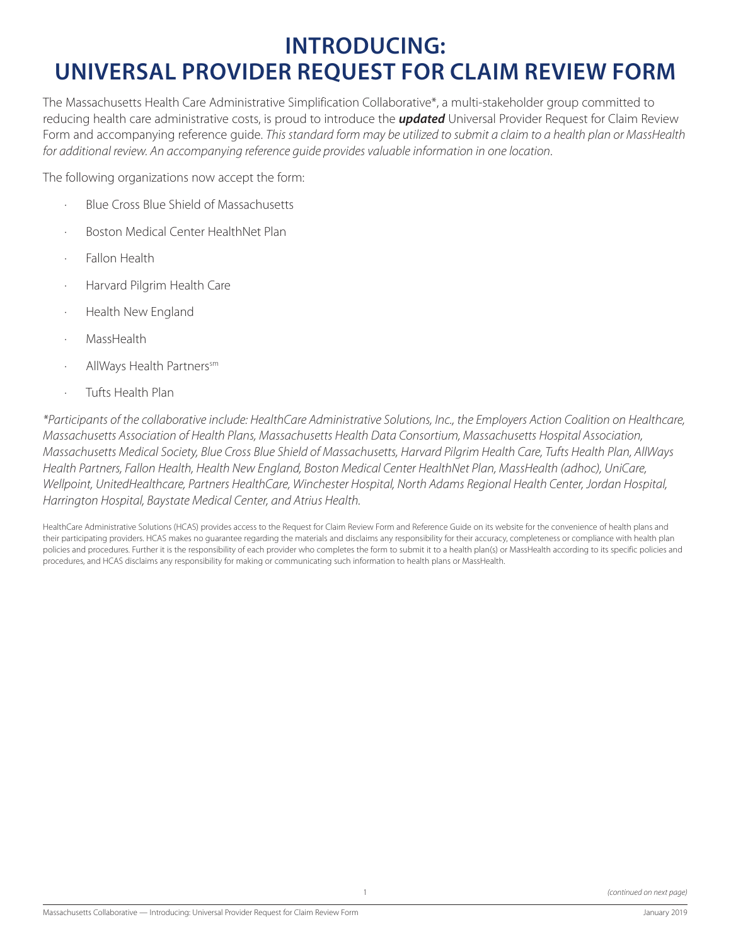#### **INTRODUCING: UNIVERSAL PROVIDER REQUEST FOR CLAIM REVIEW FORM**

The Massachusetts Health Care Administrative Simplification Collaborative\*, a multi-stakeholder group committed to reducing health care administrative costs, is proud to introduce the *updated* Universal Provider Request for Claim Review Form and accompanying reference guide. *This standard form may be utilized to submit a claim to a health plan or MassHealth for additional review. An accompanying reference guide provides valuable information in one location*.

The following organizations now accept the form:

- · Blue Cross Blue Shield of Massachusetts
- · Boston Medical Center HealthNet Plan
- Fallon Health
- · Harvard Pilgrim Health Care
- · Health New England
- · MassHealth
- AllWays Health Partnerssm
- · Tufts Health Plan

*\*Participants of the collaborative include: HealthCare Administrative Solutions, Inc., the Employers Action Coalition on Healthcare, Massachusetts Association of Health Plans, Massachusetts Health Data Consortium, Massachusetts Hospital Association, Massachusetts Medical Society, Blue Cross Blue Shield of Massachusetts, Harvard Pilgrim Health Care, Tufts Health Plan, AllWays Health Partners, Fallon Health, Health New England, Boston Medical Center HealthNet Plan, MassHealth (adhoc), UniCare, Wellpoint, UnitedHealthcare, Partners HealthCare, Winchester Hospital, North Adams Regional Health Center, Jordan Hospital, Harrington Hospital, Baystate Medical Center, and Atrius Health.*

HealthCare Administrative Solutions (HCAS) provides access to the Request for Claim Review Form and Reference Guide on its website for the convenience of health plans and their participating providers. HCAS makes no guarantee regarding the materials and disclaims any responsibility for their accuracy, completeness or compliance with health plan policies and procedures. Further it is the responsibility of each provider who completes the form to submit it to a health plan(s) or MassHealth according to its specific policies and procedures, and HCAS disclaims any responsibility for making or communicating such information to health plans or MassHealth.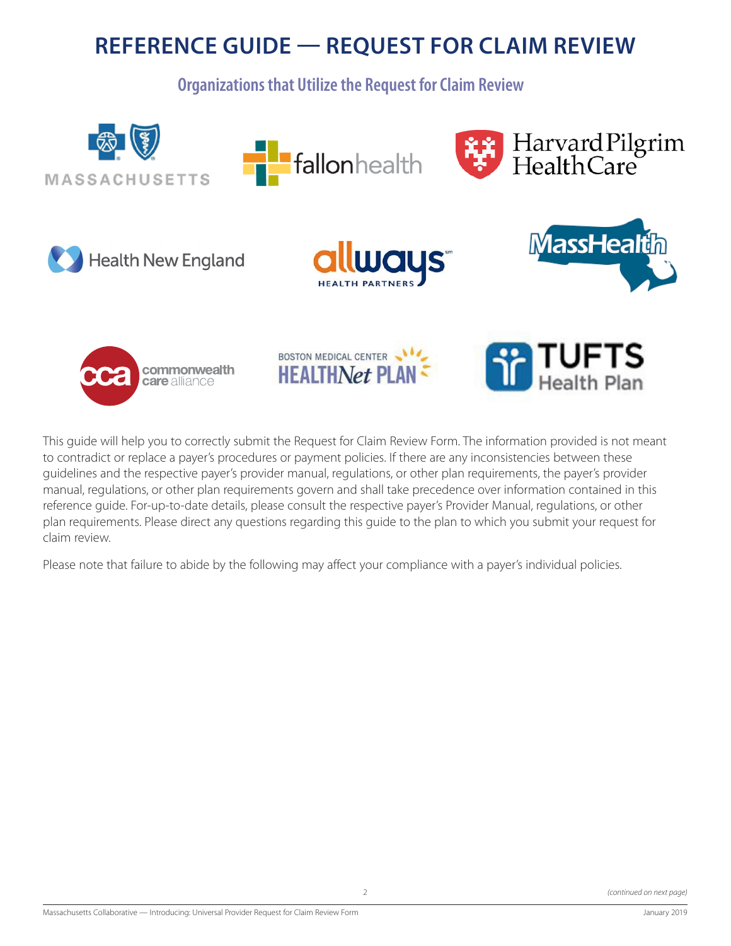#### **REFERENCE GUIDE — REQUEST FOR CLAIM REVIEW**

**Organizations that Utilize the Request for Claim Review**



This guide will help you to correctly submit the Request for Claim Review Form. The information provided is not meant to contradict or replace a payer's procedures or payment policies. If there are any inconsistencies between these guidelines and the respective payer's provider manual, regulations, or other plan requirements, the payer's provider manual, regulations, or other plan requirements govern and shall take precedence over information contained in this reference guide. For-up-to-date details, please consult the respective payer's Provider Manual, regulations, or other plan requirements. Please direct any questions regarding this guide to the plan to which you submit your request for claim review.

Please note that failure to abide by the following may affect your compliance with a payer's individual policies.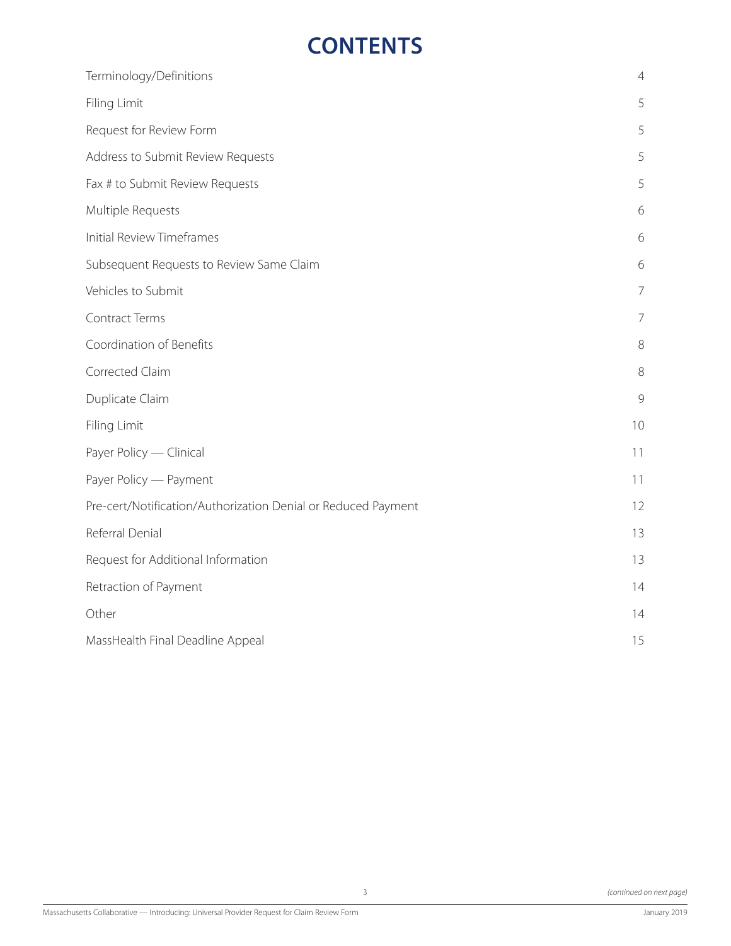## **CONTENTS**

| Terminology/Definitions                                       | $\overline{4}$ |
|---------------------------------------------------------------|----------------|
| Filing Limit                                                  | 5              |
| Request for Review Form                                       | 5              |
| Address to Submit Review Requests                             | 5              |
| Fax # to Submit Review Requests                               | 5              |
| Multiple Requests                                             | 6              |
| <b>Initial Review Timeframes</b>                              | 6              |
| Subsequent Requests to Review Same Claim                      | 6              |
| Vehicles to Submit                                            | $\overline{7}$ |
| Contract Terms                                                | $\overline{7}$ |
| Coordination of Benefits                                      | $8\,$          |
| Corrected Claim                                               | $8\,$          |
| Duplicate Claim                                               | 9              |
| Filing Limit                                                  | 10             |
| Payer Policy - Clinical                                       | 11             |
| Payer Policy - Payment                                        | 11             |
| Pre-cert/Notification/Authorization Denial or Reduced Payment | 12             |
| Referral Denial                                               | 13             |
| Request for Additional Information                            | 13             |
| Retraction of Payment                                         | 14             |
| Other                                                         | 14             |
| MassHealth Final Deadline Appeal                              | 15             |
|                                                               |                |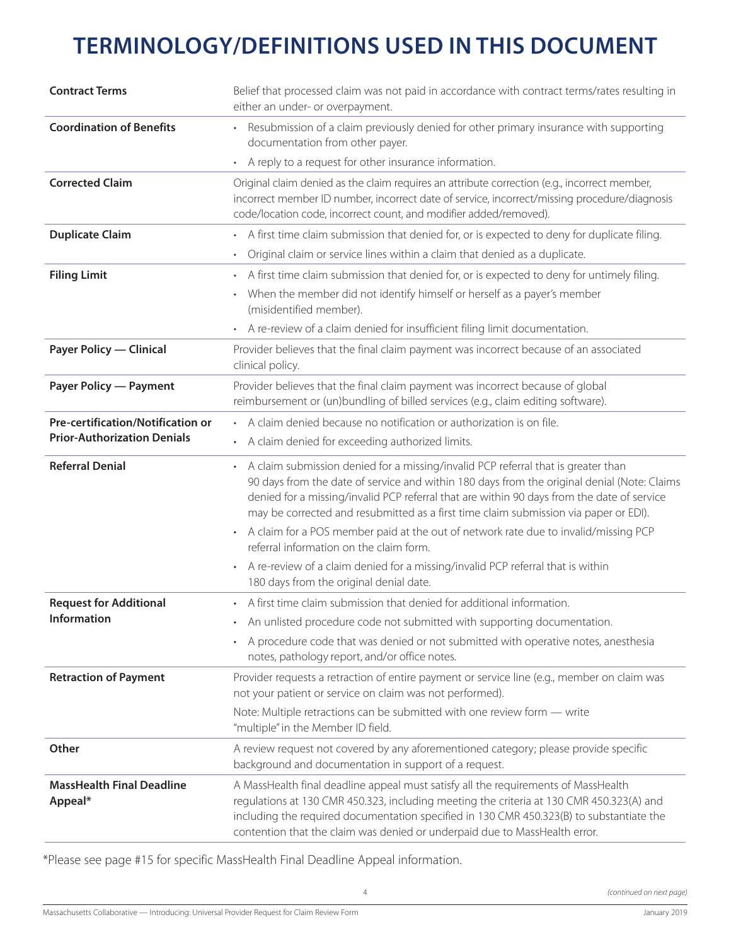# **TERMINOLOGY/DEFINITIONS USED IN THIS DOCUMENT**

| <b>Contract Terms</b>                       | Belief that processed claim was not paid in accordance with contract terms/rates resulting in<br>either an under- or overpayment.                                                                                                                                                                                                                                      |
|---------------------------------------------|------------------------------------------------------------------------------------------------------------------------------------------------------------------------------------------------------------------------------------------------------------------------------------------------------------------------------------------------------------------------|
| <b>Coordination of Benefits</b>             | Resubmission of a claim previously denied for other primary insurance with supporting<br>documentation from other payer.                                                                                                                                                                                                                                               |
|                                             | • A reply to a request for other insurance information.                                                                                                                                                                                                                                                                                                                |
| <b>Corrected Claim</b>                      | Original claim denied as the claim requires an attribute correction (e.g., incorrect member,<br>incorrect member ID number, incorrect date of service, incorrect/missing procedure/diagnosis<br>code/location code, incorrect count, and modifier added/removed).                                                                                                      |
| <b>Duplicate Claim</b>                      | • A first time claim submission that denied for, or is expected to deny for duplicate filing.                                                                                                                                                                                                                                                                          |
|                                             | Original claim or service lines within a claim that denied as a duplicate.<br>$\bullet$                                                                                                                                                                                                                                                                                |
| <b>Filing Limit</b>                         | A first time claim submission that denied for, or is expected to deny for untimely filing.<br>$\bullet$                                                                                                                                                                                                                                                                |
|                                             | When the member did not identify himself or herself as a payer's member<br>(misidentified member).                                                                                                                                                                                                                                                                     |
|                                             | A re-review of a claim denied for insufficient filing limit documentation.                                                                                                                                                                                                                                                                                             |
| <b>Payer Policy - Clinical</b>              | Provider believes that the final claim payment was incorrect because of an associated<br>clinical policy.                                                                                                                                                                                                                                                              |
| <b>Payer Policy — Payment</b>               | Provider believes that the final claim payment was incorrect because of global<br>reimbursement or (un)bundling of billed services (e.g., claim editing software).                                                                                                                                                                                                     |
| <b>Pre-certification/Notification or</b>    | • A claim denied because no notification or authorization is on file.                                                                                                                                                                                                                                                                                                  |
| <b>Prior-Authorization Denials</b>          | • A claim denied for exceeding authorized limits.                                                                                                                                                                                                                                                                                                                      |
| <b>Referral Denial</b>                      | A claim submission denied for a missing/invalid PCP referral that is greater than<br>90 days from the date of service and within 180 days from the original denial (Note: Claims<br>denied for a missing/invalid PCP referral that are within 90 days from the date of service<br>may be corrected and resubmitted as a first time claim submission via paper or EDI). |
|                                             | A claim for a POS member paid at the out of network rate due to invalid/missing PCP<br>referral information on the claim form.                                                                                                                                                                                                                                         |
|                                             | A re-review of a claim denied for a missing/invalid PCP referral that is within<br>180 days from the original denial date.                                                                                                                                                                                                                                             |
| <b>Request for Additional</b>               | • A first time claim submission that denied for additional information.                                                                                                                                                                                                                                                                                                |
| Information                                 | An unlisted procedure code not submitted with supporting documentation.                                                                                                                                                                                                                                                                                                |
|                                             | A procedure code that was denied or not submitted with operative notes, anesthesia<br>notes, pathology report, and/or office notes.                                                                                                                                                                                                                                    |
| <b>Retraction of Payment</b>                | Provider requests a retraction of entire payment or service line (e.g., member on claim was<br>not your patient or service on claim was not performed).                                                                                                                                                                                                                |
|                                             | Note: Multiple retractions can be submitted with one review form - write<br>"multiple" in the Member ID field.                                                                                                                                                                                                                                                         |
| Other                                       | A review request not covered by any aforementioned category; please provide specific<br>background and documentation in support of a request.                                                                                                                                                                                                                          |
| <b>MassHealth Final Deadline</b><br>Appeal* | A MassHealth final deadline appeal must satisfy all the requirements of MassHealth<br>regulations at 130 CMR 450.323, including meeting the criteria at 130 CMR 450.323(A) and<br>including the required documentation specified in 130 CMR 450.323(B) to substantiate the<br>contention that the claim was denied or underpaid due to MassHealth error.               |

\*Please see page #15 for specific MassHealth Final Deadline Appeal information.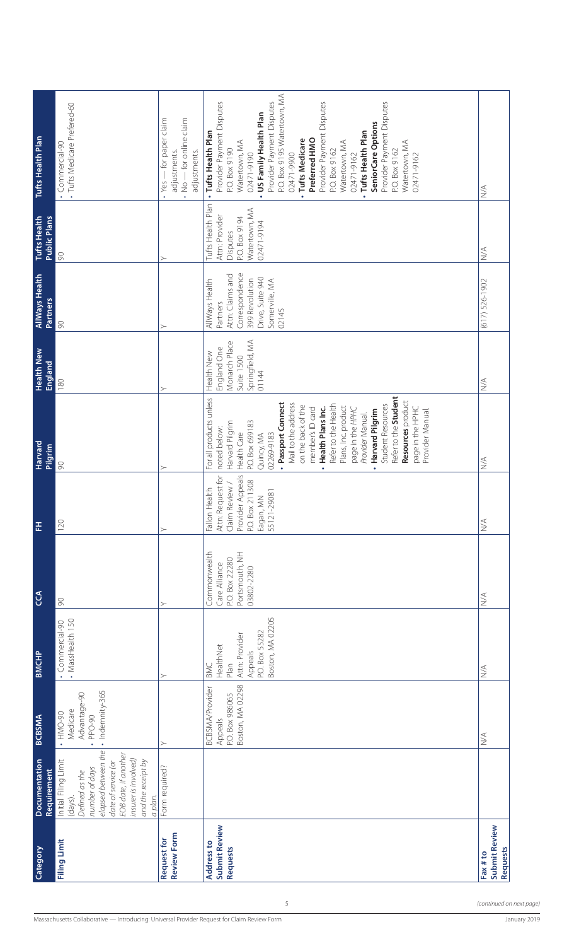| Harvard<br>Pilgrim<br>푼<br>$\mathfrak{S}$<br><b>BMCHP</b><br><b>BCBSMA</b><br><b>Documentation</b><br><b>Requirement</b> | 90<br>120<br>$\infty$<br>• MassHealth 150<br>· Commercial-90<br>· Indemnity-365<br>Advantage-90<br>Medicare<br>$\cdot$ HMO-90<br>. PPO-90<br>elapsed between the<br>EOB date, if another<br>insurer is involved)<br>Initial Filing Limit<br>and the receipt by<br>date of service (or<br>number of days<br>Defined as the<br>a plan.<br>(days). | ≻<br>≻<br>↘<br>≻<br>Form required?                                             | Refer to the Student<br>For all products unless<br>Resources product<br>· Passport Connect<br>Mail to the address<br>Refer to the Health<br>on the back of the<br>Student Resources<br>Plans, Inc. product<br>page in the HPHC<br>Health Plans Inc.<br>member's ID card<br>page in the HPHC<br>Provider Manual.<br>Harvard Pilgrim<br>Provider Manual.<br>P.O. Box 699183<br>Harvard Pilgrim<br>noted below:<br>Health Care<br>02269-9183<br>Quincy, MA<br>$\bullet$<br>Attn: Request for<br>Provider Appeals<br>P.O. Box 211308<br>Claim Review /<br>Health<br>55121-29081<br>Eagan, MN<br>Fallon<br>Commonwealth<br>Portsmouth, NH<br>P.O. Box 22280<br>Care Alliance<br>03802-2280<br>Boston, MA 02205<br>P.O. Box 55282<br>Attn: Provider<br>HealthNet<br>Appeals<br>Plan<br>BMC<br>Boston, MA 02298<br><b>BCBSMA/Provider</b><br>P.O. Box 986065<br>Appeals<br>Submit Review | $\leq$<br>$\stackrel{\triangleleft}{\geq}$<br>$\lesssim$<br>$\stackrel{\triangle}{\geq}$<br>$\lessgtr$<br>Submit Review |
|--------------------------------------------------------------------------------------------------------------------------|-------------------------------------------------------------------------------------------------------------------------------------------------------------------------------------------------------------------------------------------------------------------------------------------------------------------------------------------------|--------------------------------------------------------------------------------|-----------------------------------------------------------------------------------------------------------------------------------------------------------------------------------------------------------------------------------------------------------------------------------------------------------------------------------------------------------------------------------------------------------------------------------------------------------------------------------------------------------------------------------------------------------------------------------------------------------------------------------------------------------------------------------------------------------------------------------------------------------------------------------------------------------------------------------------------------------------------------------|-------------------------------------------------------------------------------------------------------------------------|
| <b>Health New</b><br>England                                                                                             | $\frac{80}{2}$                                                                                                                                                                                                                                                                                                                                  |                                                                                | Springfield, MA<br>Monarch Place<br>England One<br>Health New<br>Suite 1500<br>01144                                                                                                                                                                                                                                                                                                                                                                                                                                                                                                                                                                                                                                                                                                                                                                                              | $\leq$                                                                                                                  |
| <b>AllWays Health</b><br><b>Partners</b>                                                                                 | 90                                                                                                                                                                                                                                                                                                                                              |                                                                                | Correspondence<br>Attn: Claims and<br>Drive, Suite 940<br>399 Revolution<br>Somerville, MA<br>AllWays Health<br>Partners<br>02145                                                                                                                                                                                                                                                                                                                                                                                                                                                                                                                                                                                                                                                                                                                                                 | $(617)$ 526-1902                                                                                                        |
| <b>Tufts Health</b><br><b>Public Plans</b>                                                                               | 8                                                                                                                                                                                                                                                                                                                                               |                                                                                | Tufts Health Plan<br>Watertown, MA<br>Attn: Provider<br>P.O. Box 9194<br>02471-9194<br>Disputes                                                                                                                                                                                                                                                                                                                                                                                                                                                                                                                                                                                                                                                                                                                                                                                   | $\stackrel{\triangle}{\geq}$                                                                                            |
| Tufts Health Plan                                                                                                        | · Tufts Medicare Prefered-60<br>· Commercial-90                                                                                                                                                                                                                                                                                                 | No - for online claim<br>Yes - for paper claim<br>adjustments.<br>adjustments. | P.O. Box 9195 Watertown, MA<br>Provider Payment Disputes<br>Provider Payment Disputes<br>Provider Payment Disputes<br>Provider Payment Disputes<br>US Family Health Plan<br>SeniorCare Options<br>Tufts Health Plan<br>. Tufts Health Plan<br>Preferred HMO<br>· Tufts Medicare<br>Watertown, MA<br>Watertown, MA<br>Watertown, MA<br>P.O. Box 9190<br>P.O. Box 9162<br>P.O. Box 9162<br>02471-9900<br>02471-9190<br>02471-9162<br>02471-9162<br>$\bullet$<br>$\bullet$                                                                                                                                                                                                                                                                                                                                                                                                           | $\leq$                                                                                                                  |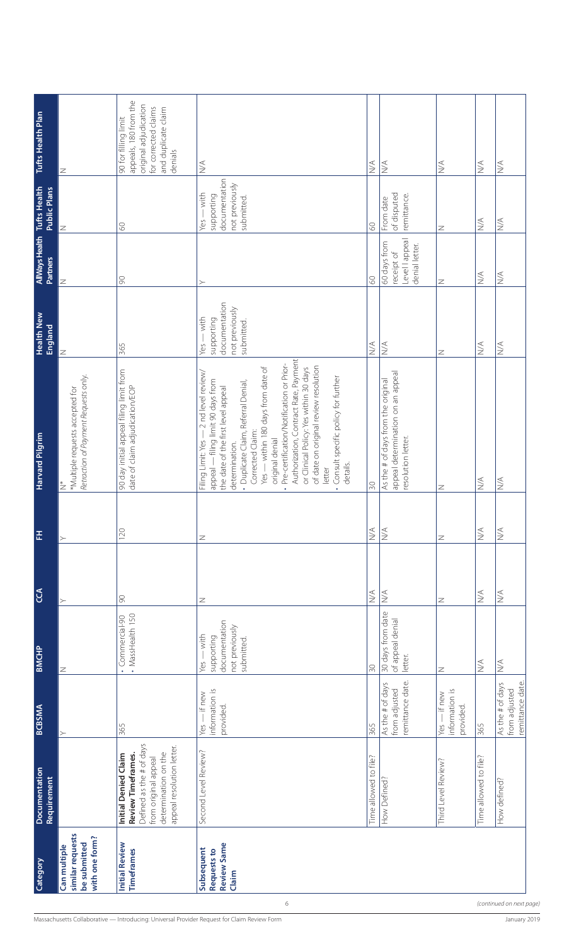|                                                                                                  | Category                                                           | Documentation<br><b>Requirement</b>                                                                                                                 | <b>BCBSMA</b>                                        | <b>BMCHP</b>                                                                | C <sub>0</sub>                   | 푼                            | Harvard Pilgrim                                                                                                                                                                                                                                                                                                                                                                                                                                                                                                       | <b>Health New</b><br>England                                                             | <b>AIMays Health</b> Tufts Health<br><b>Partners</b>          | <b>Public Plans</b>                                                             | Tufts Health Plan                                                                                                                |
|--------------------------------------------------------------------------------------------------|--------------------------------------------------------------------|-----------------------------------------------------------------------------------------------------------------------------------------------------|------------------------------------------------------|-----------------------------------------------------------------------------|----------------------------------|------------------------------|-----------------------------------------------------------------------------------------------------------------------------------------------------------------------------------------------------------------------------------------------------------------------------------------------------------------------------------------------------------------------------------------------------------------------------------------------------------------------------------------------------------------------|------------------------------------------------------------------------------------------|---------------------------------------------------------------|---------------------------------------------------------------------------------|----------------------------------------------------------------------------------------------------------------------------------|
|                                                                                                  | similar requests<br>with one form?<br>be submitted<br>Can multiple |                                                                                                                                                     |                                                      | $\mathbb Z$                                                                 |                                  |                              | Retraction of Payment Requests only.<br>*Multiple requests accepted for<br>$\stackrel{*}{\geq}$                                                                                                                                                                                                                                                                                                                                                                                                                       | Z                                                                                        | Z                                                             | Z                                                                               | Z                                                                                                                                |
|                                                                                                  | <b>Initial Review</b><br>Timeframes                                | Defined as the # of days<br>appeal resolution letter.<br>determination on the<br>Review Timeframes.<br>Initial Denied Claim<br>from original appeal | 365                                                  | • MassHealth 150<br>· Commercial-90                                         | $\infty$                         | 120                          | 90 day initial appeal filing limit from<br>date of claim adjudication/EOP                                                                                                                                                                                                                                                                                                                                                                                                                                             | 365                                                                                      | $\infty$                                                      | $\odot$                                                                         | appeals, 180 from the<br>original adjudication<br>for corrected claims<br>and duplicate claim<br>90 for filling limit<br>denials |
| 6<br>Massachusetts Collaborative — Introducing: Universal Provider Request for Claim Review Form | <b>Review Same</b><br>Subsequent<br>Requests to<br>Claim           | Second Level Review?                                                                                                                                | information is<br>Yes - if new<br>provided.          | documentation<br>not previously<br>$Yes - with$<br>supporting<br>submitted. | $\mathbb Z$                      | Z                            | Authorization, Contract Rate, Payment<br>Pre-certification/Notification or Prior-<br>of date on original review resolution<br>- within 180 days from date of<br>or Clinical Policy: Yes within 30 days<br>- 2 nd level review/<br>Consult specific policy for further<br>appeal - filing limit 90 days from<br>· Duplicate Claim, Referral Denial,<br>the date of the first level appeal<br>Corrected Claim:<br>Filing Limit: Yes -<br>original denial<br>determination<br>details.<br>letter<br>$Yes -$<br>$\bullet$ | documentation<br>not previously<br>$-\text{with}$<br>supporting<br>submitted.<br>$Yes -$ | ≻                                                             | documentation<br>not previously<br>$-$ with<br>supporting<br>submitted.<br>Yes- | $\stackrel{\triangle}{\geq}$                                                                                                     |
|                                                                                                  |                                                                    | Time allowed to file?                                                                                                                               | 365                                                  | $\infty$                                                                    | $\leq$                           | $\leq$                       | 50                                                                                                                                                                                                                                                                                                                                                                                                                                                                                                                    | $\stackrel{\triangle}{\geq}$                                                             | 80                                                            | 8                                                                               | $\leq$                                                                                                                           |
|                                                                                                  |                                                                    | How Defined?                                                                                                                                        | remittance date<br>As the # of days<br>from adjusted | 30 days from date<br>of appeal denial<br>letter.                            | $\stackrel{\triangleleft}{\geq}$ | $\lessapprox$                | appeal determination on an appeal<br>As the # of days from the original<br>resolution letter.                                                                                                                                                                                                                                                                                                                                                                                                                         | $\stackrel{\triangleleft}{\geq}$                                                         | Level lappeal<br>60 days from<br>denial letter.<br>receipt of | of disputed<br>remittance.<br>From date                                         | $\stackrel{\triangle}{\geq}$                                                                                                     |
|                                                                                                  |                                                                    | Third Level Review?                                                                                                                                 | information is<br>Yes - if new<br>provided.          | Z                                                                           | Z                                | Z                            | Z                                                                                                                                                                                                                                                                                                                                                                                                                                                                                                                     | Z                                                                                        | Z                                                             | Z                                                                               | $\stackrel{\triangle}{\geq}$                                                                                                     |
|                                                                                                  |                                                                    | Time allowed to file?                                                                                                                               | 365                                                  | $\lessgtr$                                                                  | $\stackrel{\triangleleft}{\geq}$ | $\stackrel{\triangle}{\geq}$ | $\stackrel{\triangle}{\geq}$                                                                                                                                                                                                                                                                                                                                                                                                                                                                                          | $\stackrel{\triangle}{\geq}$                                                             | $\stackrel{\triangleleft}{\geq}$                              | $\stackrel{\triangleleft}{\geq}$                                                | $\stackrel{\triangle}{\geq}$                                                                                                     |
| (continued on next page,<br>January 2019                                                         |                                                                    | How defined?                                                                                                                                        | As the # of days<br>remittance date<br>from adjusted | $\lessgtr$                                                                  | $\stackrel{\triangleleft}{\geq}$ | $\stackrel{\triangle}{\geq}$ | $\stackrel{\triangle}{\geq}$                                                                                                                                                                                                                                                                                                                                                                                                                                                                                          | $\stackrel{\triangle}{\geq}$                                                             | $\lessgtr$                                                    | $\lesssim$                                                                      | $\stackrel{\triangle}{\geq}$                                                                                                     |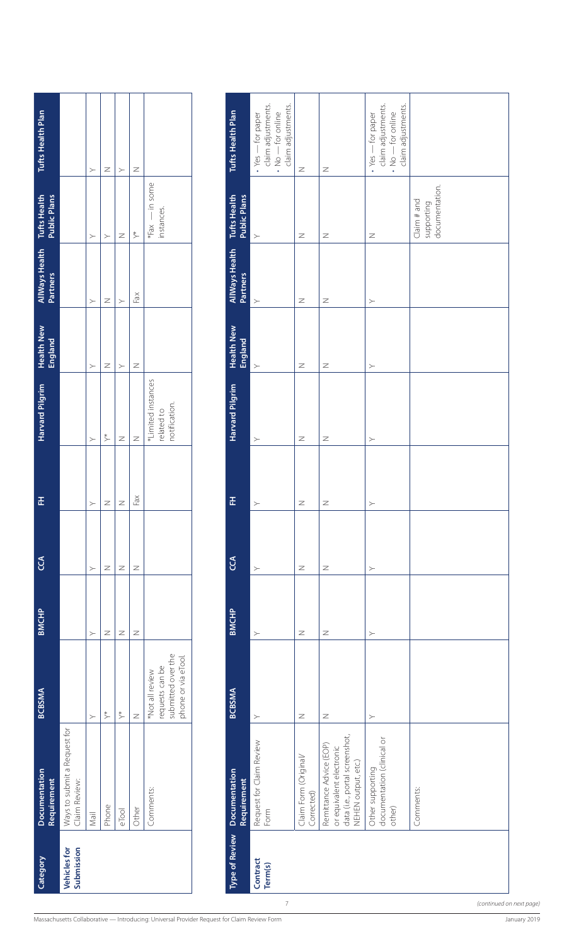| Category                   | <b>Documentation</b><br>Requirement           | <b>BCBSMA</b>                                                                  | <b>BMCHP</b> | $\mathcal{E}$ | 준      | Harvard Pilgrim                                   | <b>Health New</b><br><b>England</b> | AllWays Health Tufts Health<br><b>Partners</b> | <b>Public Plans</b>          | Tufts Health Plan |
|----------------------------|-----------------------------------------------|--------------------------------------------------------------------------------|--------------|---------------|--------|---------------------------------------------------|-------------------------------------|------------------------------------------------|------------------------------|-------------------|
| Vehicles for<br>Submission | Ways to submit a Request for<br>Claim Review: |                                                                                |              |               |        |                                                   |                                     |                                                |                              |                   |
|                            | Mail                                          |                                                                                |              |               | $\geq$ | >                                                 |                                     |                                                |                              | ⋗                 |
|                            | Phone                                         | $\stackrel{*}{\scriptstyle\diagup}$                                            |              | z             | Z      | $\stackrel{*}{\geq}$                              |                                     |                                                | 冫                            | ∠                 |
|                            | eTool                                         | $\stackrel{*}{\scriptstyle\diagup}$                                            |              | Z             | Z      | z                                                 |                                     |                                                | Z                            | >                 |
|                            | Other                                         |                                                                                | Z            | Z             | Fax    | z                                                 | Z                                   | Fax                                            | $\stackrel{*}{\geq}$         |                   |
|                            | Comments:                                     | submitted over the<br>phone or via eTool.<br>requests can be<br>Not all review |              |               |        | *Limited instances<br>notification.<br>related to |                                     |                                                | "Fax - in some<br>instances. |                   |

| $*Fax$ .<br>$\stackrel{*}{\succ}$<br>$\, \geq$<br>$\mathbb Z$<br>$\mathbb Z$<br>$\mathbb Z$<br>$\succ$<br>$\succ$<br>$\succ$<br><b>AllWays Health</b><br><b>Partners</b><br>Fax<br>$\mathbb Z$<br>$\mathbb Z$<br>$\mathbb Z$<br>$\succ$<br>$\succ$<br>$\succ$<br>$\succ$<br><b>Health New</b><br><b>England</b><br>$\mathbb Z$<br>$\mathbb Z$<br>Ζ<br>Z<br>$\succ$<br>$\succ$<br>$\succ$<br>$\succ$<br>*Limited instances<br>Harvard Pilgrim<br>notification.<br>related to<br>$\stackrel{*}{\succ}$<br>$\, \geq$<br>$\, \geq$<br>$\mathbb Z$<br>$\mathbb Z$<br>$\succ$<br>$\succ$<br>$\succ$<br>$\ensuremath{\mathsf{F}\xspace}$ ax<br>푼<br>$\geq$<br>$\overline{z}$<br>$\mathbb Z$<br>$\, \geq$<br>$\succ$<br>$\succ$<br>$\succ$<br>C <sub>C</sub><br>$\mathbb Z$<br>$\mathbb Z$<br>$\mathbb Z$<br>Z<br>$\mathbb Z$<br>$\succ$<br>$\succ$<br>$\succ$<br><b>BMCHP</b><br>$\, \geq$<br>$\mathbb Z$<br>$\mathbb Z$<br>$\mathbb Z$<br>$\mathbb Z$<br>$\succ$<br>$\succ$<br>$\succ$<br>submitted over the<br>phone or via eTool.<br>requests can be<br>*Not all review<br><b>BCBSMA</b><br>$\stackrel{*}{\succ}$<br>$\stackrel{*}{\succ}$<br>$\geq$<br>$\overline{z}$<br>$\, \geq$<br>$\succ$<br>$\succ$<br>$\succ$<br>Ways to submit a Request for<br>data (i.e., portal screenshot,<br>documentation (clinical or<br>Request for Claim Review<br>Remittance Advice (EOP)<br>or equivalent electronic<br>Claim Form (Original/<br>NEHEN output, etc.)<br>Other supporting<br><b>Documentation</b><br><b>Requirement</b><br>Claim Review:<br>Comments:<br>Comments:<br>Corrected)<br>Phone<br>other)<br>Other<br>Form<br>eTool<br>Mail<br><b>Type of Review</b><br>Submission<br><b>Vehicles for</b><br>Contract<br>Term(s) | <b>Requirement</b> |  |  | Health New<br>England | AllWays Health<br><b>Partners</b> | <b>Tufts Health</b><br><b>Public Plans</b> | Tufts Health Plan                                                                                      |
|--------------------------------------------------------------------------------------------------------------------------------------------------------------------------------------------------------------------------------------------------------------------------------------------------------------------------------------------------------------------------------------------------------------------------------------------------------------------------------------------------------------------------------------------------------------------------------------------------------------------------------------------------------------------------------------------------------------------------------------------------------------------------------------------------------------------------------------------------------------------------------------------------------------------------------------------------------------------------------------------------------------------------------------------------------------------------------------------------------------------------------------------------------------------------------------------------------------------------------------------------------------------------------------------------------------------------------------------------------------------------------------------------------------------------------------------------------------------------------------------------------------------------------------------------------------------------------------------------------------------------------------------------------------------------------------------------------------------------|--------------------|--|--|-----------------------|-----------------------------------|--------------------------------------------|--------------------------------------------------------------------------------------------------------|
|                                                                                                                                                                                                                                                                                                                                                                                                                                                                                                                                                                                                                                                                                                                                                                                                                                                                                                                                                                                                                                                                                                                                                                                                                                                                                                                                                                                                                                                                                                                                                                                                                                                                                                                          |                    |  |  |                       |                                   |                                            |                                                                                                        |
|                                                                                                                                                                                                                                                                                                                                                                                                                                                                                                                                                                                                                                                                                                                                                                                                                                                                                                                                                                                                                                                                                                                                                                                                                                                                                                                                                                                                                                                                                                                                                                                                                                                                                                                          |                    |  |  |                       |                                   |                                            | $\succ$                                                                                                |
|                                                                                                                                                                                                                                                                                                                                                                                                                                                                                                                                                                                                                                                                                                                                                                                                                                                                                                                                                                                                                                                                                                                                                                                                                                                                                                                                                                                                                                                                                                                                                                                                                                                                                                                          |                    |  |  |                       |                                   |                                            | $\mathbb Z$                                                                                            |
|                                                                                                                                                                                                                                                                                                                                                                                                                                                                                                                                                                                                                                                                                                                                                                                                                                                                                                                                                                                                                                                                                                                                                                                                                                                                                                                                                                                                                                                                                                                                                                                                                                                                                                                          |                    |  |  |                       |                                   |                                            | $\succ$                                                                                                |
|                                                                                                                                                                                                                                                                                                                                                                                                                                                                                                                                                                                                                                                                                                                                                                                                                                                                                                                                                                                                                                                                                                                                                                                                                                                                                                                                                                                                                                                                                                                                                                                                                                                                                                                          |                    |  |  |                       |                                   |                                            | $\mathbb Z$                                                                                            |
|                                                                                                                                                                                                                                                                                                                                                                                                                                                                                                                                                                                                                                                                                                                                                                                                                                                                                                                                                                                                                                                                                                                                                                                                                                                                                                                                                                                                                                                                                                                                                                                                                                                                                                                          |                    |  |  |                       |                                   | - in some<br>instances.                    |                                                                                                        |
|                                                                                                                                                                                                                                                                                                                                                                                                                                                                                                                                                                                                                                                                                                                                                                                                                                                                                                                                                                                                                                                                                                                                                                                                                                                                                                                                                                                                                                                                                                                                                                                                                                                                                                                          |                    |  |  |                       |                                   |                                            |                                                                                                        |
|                                                                                                                                                                                                                                                                                                                                                                                                                                                                                                                                                                                                                                                                                                                                                                                                                                                                                                                                                                                                                                                                                                                                                                                                                                                                                                                                                                                                                                                                                                                                                                                                                                                                                                                          |                    |  |  |                       |                                   | <b>Tufts Health</b><br><b>Public Plans</b> | Tufts Health Plan                                                                                      |
|                                                                                                                                                                                                                                                                                                                                                                                                                                                                                                                                                                                                                                                                                                                                                                                                                                                                                                                                                                                                                                                                                                                                                                                                                                                                                                                                                                                                                                                                                                                                                                                                                                                                                                                          |                    |  |  |                       |                                   |                                            | claim adjustments.<br>claim adjustments.<br>- for online<br>$\cdot$ Yes $-$ for paper<br>$\frac{1}{2}$ |
|                                                                                                                                                                                                                                                                                                                                                                                                                                                                                                                                                                                                                                                                                                                                                                                                                                                                                                                                                                                                                                                                                                                                                                                                                                                                                                                                                                                                                                                                                                                                                                                                                                                                                                                          |                    |  |  |                       |                                   |                                            | $\mathbb Z$                                                                                            |
|                                                                                                                                                                                                                                                                                                                                                                                                                                                                                                                                                                                                                                                                                                                                                                                                                                                                                                                                                                                                                                                                                                                                                                                                                                                                                                                                                                                                                                                                                                                                                                                                                                                                                                                          |                    |  |  |                       |                                   |                                            | $\, \geq$                                                                                              |
|                                                                                                                                                                                                                                                                                                                                                                                                                                                                                                                                                                                                                                                                                                                                                                                                                                                                                                                                                                                                                                                                                                                                                                                                                                                                                                                                                                                                                                                                                                                                                                                                                                                                                                                          |                    |  |  |                       |                                   |                                            | claim adjustments.<br>claim adjustments.<br>- for online<br>$\cdot$ Yes $-$ for paper<br>$\frac{1}{2}$ |
|                                                                                                                                                                                                                                                                                                                                                                                                                                                                                                                                                                                                                                                                                                                                                                                                                                                                                                                                                                                                                                                                                                                                                                                                                                                                                                                                                                                                                                                                                                                                                                                                                                                                                                                          |                    |  |  |                       |                                   | documentation.<br>Claim# and<br>supporting |                                                                                                        |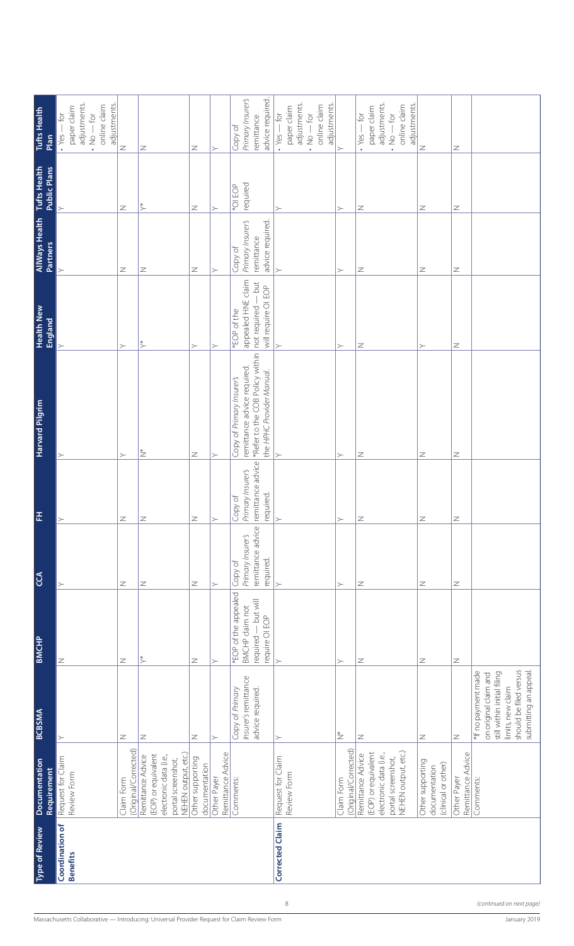| <b>Type of Review</b>              | Documentation<br>Requirement                                                                                    | <b>BCBSMA</b>                                                                                                                                       | <b>BMCHP</b>                                                                     | C <sub>2</sub>                                                 | 푼                                                              | <b>Harvard Pilgrim</b>                                                                                                   | <b>Health New</b><br><b>England</b>                                                   | <b>AllWays Health</b><br><b>Partners</b>                       | <b>Tufts Health</b><br><b>Public Plans</b> | <b>Tufts Health</b><br>Plan                                                                          |
|------------------------------------|-----------------------------------------------------------------------------------------------------------------|-----------------------------------------------------------------------------------------------------------------------------------------------------|----------------------------------------------------------------------------------|----------------------------------------------------------------|----------------------------------------------------------------|--------------------------------------------------------------------------------------------------------------------------|---------------------------------------------------------------------------------------|----------------------------------------------------------------|--------------------------------------------|------------------------------------------------------------------------------------------------------|
| Coordination of<br><b>Benefits</b> | Request for Claim<br>Review Form                                                                                |                                                                                                                                                     | $\mathbb Z$                                                                      | $\succ$                                                        | $\succ$                                                        | $\succ$                                                                                                                  |                                                                                       |                                                                |                                            | adjustments.<br>adjustments.<br>online claim<br>paper claim<br>ğ<br>$N_{\rm O}-60$<br>$\cdot$ Yes    |
|                                    | (Original/Corrected)<br>Claim Form                                                                              | $\overline{z}$                                                                                                                                      | Z                                                                                | Z                                                              | $\overline{z}$                                                 | $\succ$                                                                                                                  | $\succ$                                                                               | Z                                                              | Z                                          | $\geq$                                                                                               |
|                                    | NEHEN output, etc.)<br>(EOP) or equivalent<br>electronic data (i.e.,<br>Remittance Advice<br>portal screenshot, | $\mathbb Z$                                                                                                                                         | $\stackrel{*}{\succ}$                                                            | Z                                                              | $\overline{z}$                                                 | $\stackrel{*}{\geq}$                                                                                                     | $\stackrel{*}{\succ}$                                                                 | Z                                                              | $\stackrel{*}{\succ}$                      | Z                                                                                                    |
|                                    | Other supporting<br>documentation                                                                               | $\mathbb Z$                                                                                                                                         | $\geq$                                                                           | Z                                                              | $\overline{z}$                                                 | $\geq$                                                                                                                   | $\succ$                                                                               | Z                                                              | Z                                          | Z                                                                                                    |
|                                    | Remittance Advice<br>Other Payer                                                                                | $\succ$                                                                                                                                             | $\succ$                                                                          | $\succ$                                                        | $\left. \right.$                                               | $\succ$                                                                                                                  | $\succ$                                                                               | $\succ$                                                        | $\succ$                                    | $\succ$                                                                                              |
|                                    | Comments:                                                                                                       | Insurer's remittance<br>Copy of Primary<br>advice required.                                                                                         | *EOP of the appealed<br>required - but will<br>BMCHP claim not<br>require OI EOP | remittance advice<br>Primary Insurer's<br>required.<br>Copy of | remittance advice<br>Primary Insurer's<br>required.<br>Copy of | *Refer to the COB Policy within<br>remittance advice required.<br>the HPHC Provider Manual.<br>Copy of Primary Insurer's | appealed HNE claim<br>$-$ but<br>will require OI EOP<br>not required -<br>*EOP of the | Primary Insurer's<br>advice required.<br>remittance<br>Copy of | required<br>*OI EOP                        | Primary Insurer's<br>advice required.<br>remittance<br>Copy of                                       |
| Corrected Claim                    | Request for Claim<br>Review Form                                                                                | $\succ$                                                                                                                                             | $\rightarrow$                                                                    |                                                                | $\rightarrow$                                                  | ≻                                                                                                                        | $\rightarrow$                                                                         | $\rightarrow$                                                  | $\succ$                                    | adjustments.<br>adjustments.<br>online claim<br>paper claim<br>$\cdot$ Yes $-$ for<br>$N_{\rm O}-60$ |
|                                    | (Original/Corrected)<br>Claim Form                                                                              | $\stackrel{*}{\geq}$                                                                                                                                | $\succ$                                                                          | $\succ$                                                        | $\rightarrow$                                                  | $\succ$                                                                                                                  | $\succ$                                                                               | $\succ$                                                        | $\succ$                                    | $\succ$                                                                                              |
|                                    | NEHEN output, etc.)<br>(EOP) or equivalent<br>electronic data (i.e.,<br>Remittance Advice<br>portal screenshot, | $\geq$                                                                                                                                              | Z                                                                                | Z                                                              | $\overline{z}$                                                 | Z                                                                                                                        | Z                                                                                     | Z                                                              | Z                                          | adjustments.<br>adjustments<br>online claim<br>paper claim<br>ją<br>$N_{\rm O}-60$<br>$\cdot$ Yes -  |
|                                    | Other supporting<br>(clinical or other)<br>documentation                                                        | Z                                                                                                                                                   | Z                                                                                | Z                                                              | $\overline{z}$                                                 | Z                                                                                                                        | $\succ$                                                                               | Z                                                              | Z                                          | Z                                                                                                    |
|                                    | Remittance Advice<br>Other Payer                                                                                | $\mathbb Z$                                                                                                                                         | $\mathbb Z$                                                                      | $\mathbb Z$                                                    | $\overline{z}$                                                 | $\mathbb Z$                                                                                                              | $\geq$                                                                                | $\mathbb Z$                                                    | $\mathbb Z$                                | $\mathbb Z$                                                                                          |
|                                    | Comments:                                                                                                       | should be filed versus<br>submitting an appeal.<br>*If no payment made<br>still within initial filing<br>on original claim and<br>limits, new claim |                                                                                  |                                                                |                                                                |                                                                                                                          |                                                                                       |                                                                |                                            |                                                                                                      |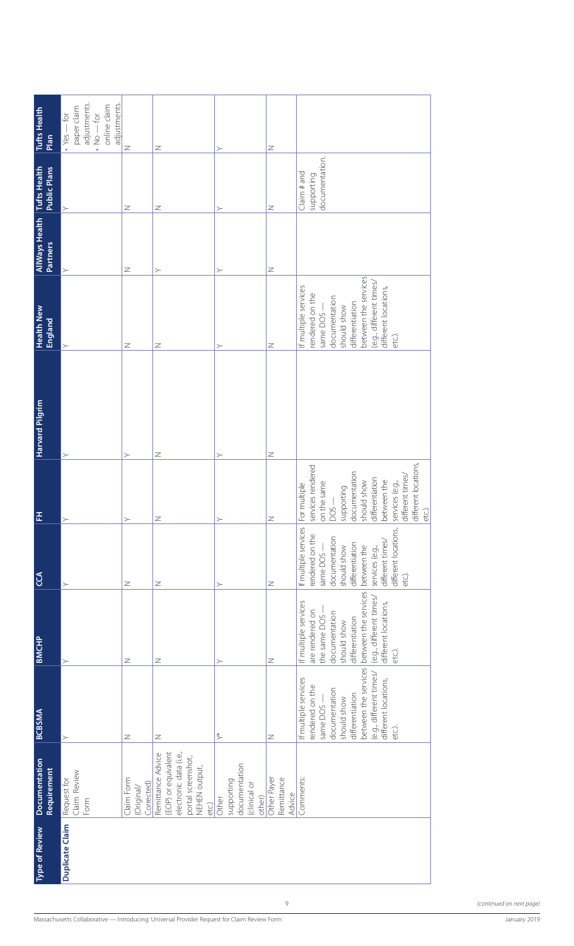| <b>Tufts Health</b><br>Plan                | adjustments.<br>adjustments.<br>online claim<br>paper claim<br>$\cdot$ Yes $-$ for<br>$NQ - fQI$ | $\geq$                                 | Z                                                                                                                  | ≻                                                              | Z                                   |                                                                                                                                                                                                                      |
|--------------------------------------------|--------------------------------------------------------------------------------------------------|----------------------------------------|--------------------------------------------------------------------------------------------------------------------|----------------------------------------------------------------|-------------------------------------|----------------------------------------------------------------------------------------------------------------------------------------------------------------------------------------------------------------------|
| <b>Tufts Health</b><br><b>Public Plans</b> | $\succ$                                                                                          | $\mathbb Z$                            | Z                                                                                                                  | $\succ$                                                        | $\mathbb Z$                         | documentation.<br>Claim# and<br>supporting                                                                                                                                                                           |
| <b>AllWays Health</b><br><b>Partners</b>   | ≻                                                                                                | $\mathbb Z$                            | ≻                                                                                                                  |                                                                | $\mathbb Z$                         |                                                                                                                                                                                                                      |
| <b>Health New</b><br>England               | $\succ$                                                                                          | $\mathbb Z$                            | Z                                                                                                                  | ≻                                                              | $\mathbb Z$                         | between the services<br>(e.g., different times/<br>If multiple services<br>different locations,<br>rendered on the<br>documentation<br>differentiation<br>should show<br>same DOS -<br>etc.).                        |
| Harvard Pilgrim                            |                                                                                                  |                                        | Z                                                                                                                  |                                                                | $\mathbb Z$                         |                                                                                                                                                                                                                      |
| 푼                                          | $\succ$<br>$\succ$                                                                               | $\succ$<br>$\succ$                     | $\geq$                                                                                                             | $\succ$                                                        | $\geq$                              | different locations,<br>services rendered<br>documentation<br>different times/<br>differentiation<br>should show<br>between the<br>services (e.g.,<br>on the same<br>multiple<br>supporting<br>$DS -$<br>etc.).<br>è |
| C <sub>C</sub>                             | $\succ$                                                                                          | $\mathbb Z$                            | Z                                                                                                                  | $\succ$                                                        | $\mathbb Z$                         | If multiple services<br>different locations,<br>rendered on the<br>documentation<br>different times/<br>differentiation<br>should show<br>between the<br>services (e.g.,<br>same DOS -<br>etc).                      |
| <b>BMCHP</b>                               | $\geq$                                                                                           | $\mathbb Z$                            | Z                                                                                                                  | $\succ$                                                        | $\mathbb Z$                         | between the services<br>(e.g., different times/<br>If multiple services<br>different locations,<br>are rendered on<br>documentation<br>the same DOS<br>differentiation<br>should show<br>etc.).                      |
| <b>BCBSMA</b>                              | $\succ$                                                                                          | $\mathbb Z$                            | Z                                                                                                                  | ⋟                                                              | $\mathbb Z$                         | between the services<br>(e.g., different times/<br>If multiple services<br>different locations,<br>rendered on the<br>documentation<br>differentiation<br>should show<br>same DOS<br>etc.).                          |
| <b>Documentation</b><br><b>Requirement</b> | Claim Review<br>Request for<br>Form                                                              | Claim Form<br>Corrected)<br>(Original/ | electronic data (i.e.,<br>(EOP) or equivalent<br>Remittance Advice<br>portal screenshot,<br>NEHEN output,<br>etc.) | documentation<br>supporting<br>(clinical or<br>other)<br>Other | Other Payer<br>Remittance<br>Advice | Comments:                                                                                                                                                                                                            |
| <b>Type of Review</b>                      | Duplicate Claim                                                                                  |                                        |                                                                                                                    |                                                                |                                     |                                                                                                                                                                                                                      |
|                                            |                                                                                                  |                                        |                                                                                                                    |                                                                | $\,9$                               |                                                                                                                                                                                                                      |
|                                            |                                                                                                  |                                        | Massachusetts Collaborative — Introducing: Universal Provider Request for Claim Review Form                        |                                                                |                                     |                                                                                                                                                                                                                      |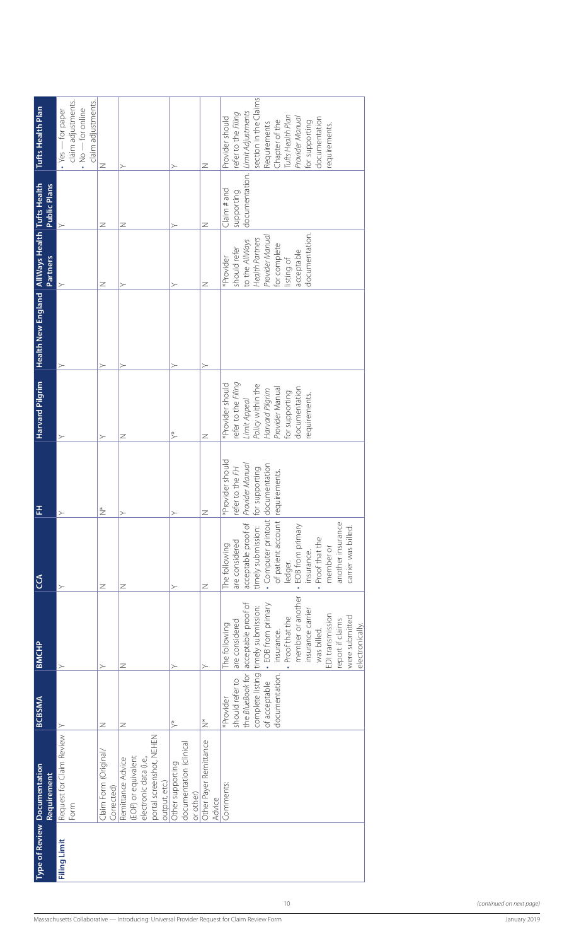| Tufts Health Plan                                                 | claim adjustments.<br>claim adjustments.<br>$\cdot$ No $-$ for online<br>$\cdot$ Yes $-$ for paper | $\geq$                              | $\succ$                                                                                                         | $\succ$                                                  | Z                                | section in the Claims<br>Limit Adjustments<br>refer to the Filing<br>Tufts Health Plan<br>Provider should<br>Provider Manual<br>documentation<br>Chapter of the<br>for supporting<br>Requirements<br>requirements.                                             |                 |
|-------------------------------------------------------------------|----------------------------------------------------------------------------------------------------|-------------------------------------|-----------------------------------------------------------------------------------------------------------------|----------------------------------------------------------|----------------------------------|----------------------------------------------------------------------------------------------------------------------------------------------------------------------------------------------------------------------------------------------------------------|-----------------|
| <b>Public Plans</b>                                               |                                                                                                    | $\mathbb Z$                         | Ζ                                                                                                               | $\succ$                                                  | Ζ                                | documentation.<br>Claim# and<br>supporting                                                                                                                                                                                                                     |                 |
| Health New England AllWays Health Tufts Health<br><b>Partners</b> |                                                                                                    | Z                                   | ≻                                                                                                               | $\succ$                                                  | Z                                | documentation.<br>Provider Manual<br><b>Health Partners</b><br>to the AllWays<br>for complete<br>should refer<br>acceptable<br>*Provider<br>listing of                                                                                                         |                 |
|                                                                   |                                                                                                    | ≻                                   | ≻                                                                                                               | ≻                                                        | ≻                                |                                                                                                                                                                                                                                                                |                 |
| <b>Harvard Pilgrim</b>                                            |                                                                                                    | $\succ$                             | $\mathbb Z$                                                                                                     | $\stackrel{*}{\succ}$                                    | $\overline{z}$                   | refer to the Filing<br>*Provider should<br>Policy within the<br>documentation<br>Provider Manual<br>Harvard Pilgrim<br>for supporting<br>requirements.<br>Limit Appeal                                                                                         |                 |
| 田                                                                 | $\rightarrow$                                                                                      | $\stackrel{*}{\geq}$                | $\succ$                                                                                                         | $\succ$                                                  | $\, \geq$                        | *Provider should<br>Provider Manual<br>documentation<br>refer to the FH<br>for supporting<br>requirements.                                                                                                                                                     |                 |
| CCA                                                               | $\succ$                                                                                            | $\mathbb Z$                         | $\mathbb Z$                                                                                                     | $\succ$                                                  | Z                                | · Computer printout<br>of patient account<br>another insurance<br>acceptable proof of<br>EOB from primary<br>carrier was billed.<br>timely submission:<br>Proof that the<br>are considered<br>The following<br>member or<br>insurance.<br>ledger.<br>$\bullet$ |                 |
| <b>BMCHP</b>                                                      | $\succ$                                                                                            | $\succ$                             | $\mathbb Z$                                                                                                     | $\succ$                                                  | $\succ$                          | member or another<br>acceptable proof of<br>· EOB from primary<br>timely submission:<br>insurance carrier<br>EDI transmission<br>were submitted<br>Proof that the<br>report if claims<br>are considered<br>The following<br>was billed.<br>insurance.          | electronically. |
| <b>BCBSMA</b>                                                     | ≻                                                                                                  | $\mathbb Z$                         | $\mathbb Z$                                                                                                     | $\stackrel{*}{\succ}$                                    | $\stackrel{*}{\geq}$             | complete listing<br>documentation.<br>the <i>BlueBook</i> for<br>should refer to<br>of acceptable<br>*Provider                                                                                                                                                 |                 |
| Type of Review Documentation<br><b>Requirement</b>                | Request for Claim Review<br>Form                                                                   | Claim Form (Original/<br>Corrected) | portal screenshot, NEHEN<br>(EOP) or equivalent<br>electronic data (i.e.,<br>Remittance Advice<br>output, etc.) | documentation (clinical<br>Other supporting<br>or other) | Other Payer Remittance<br>Advice | Comments:                                                                                                                                                                                                                                                      |                 |
|                                                                   | <b>Filing Limit</b>                                                                                |                                     |                                                                                                                 |                                                          |                                  |                                                                                                                                                                                                                                                                |                 |
|                                                                   |                                                                                                    |                                     |                                                                                                                 |                                                          |                                  | 10                                                                                                                                                                                                                                                             |                 |
|                                                                   |                                                                                                    |                                     |                                                                                                                 |                                                          |                                  | Massachusetts Collaborative - Introducing: Universal Provider Request for Claim Review Form                                                                                                                                                                    |                 |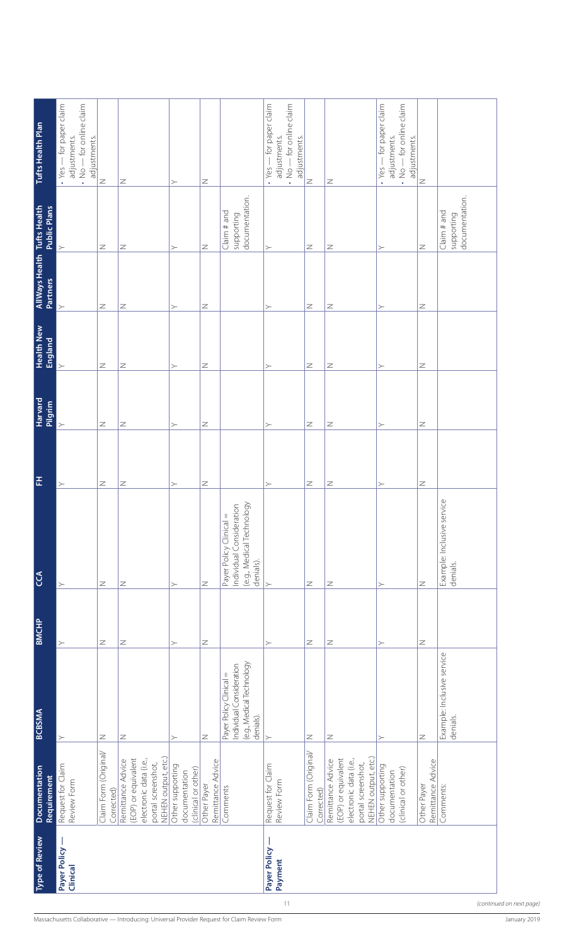| $\cdot$ Yes $-$ for paper claim<br>- for paper claim<br>$\cdot$ No $-$ for online claim<br>- for online claim<br>$\cdot$ Yes $-$ for paper claim<br>$\cdot$ No $-$ for online claim<br>adjustments.<br>adjustments.<br>adjustments.<br>adjustments.<br>adjustments.<br>adjustments.<br>$\cdot$ Yes-<br>$\frac{1}{2}$ .<br>$\geq$<br>$\geq$<br>$\mathbb Z$<br>$\geq$<br>Z<br>$\mathbb Z$<br>$\succ$<br>documentation.<br>documentation.<br>Claim# and<br>Claim# and<br>supporting<br>supporting<br>$\mathbb Z$<br>Z<br>$\mathbb Z$<br>$\mathbb Z$<br>Z<br>$\mathbb Z$<br>$\succ$<br>$\succ$<br>$\succ$<br>≻<br><b>Partners</b><br>$\mathbb Z$<br>$\mathbb Z$<br>$\mathbb Z$<br>Z<br>Z<br>Z<br>$\succ$<br>$\succ$<br>$\succ$<br>$\succ$<br><b>England</b><br>$\mathbb Z$<br>$\mathbb Z$<br>Z<br>Z<br>Ζ<br>Z<br>$\succ$<br>≻<br>≻<br>Pilgrim<br>$\mathbb Z$<br>$\mathbb Z$<br>Z<br>$\mathbb Z$<br>Z<br>Z<br>$\succ$<br>$\succ$<br>$\succ$<br>≻<br>$\mathbb Z$<br>Z<br>Z<br>Z<br>Z<br>Z<br>$\succ$<br>$\succ$<br>≻<br>$\succ$<br>Example: Inclusive service<br>(e.g., Medical Technology<br>Individual Consideration<br>$\vert\vert$<br>Payer Policy Clinical<br>denials).<br>denials.<br>$\, \geq$<br>$\mathbb Z$<br>$\mathbb Z$<br>$\mathbb Z$<br>Z<br>Z<br>$\succ$<br>$\succ$<br>$\succ$<br>$\succ$<br>$\mathbb Z$<br>$\, \geq$<br>$\mathbb Z$<br>Z<br>Z<br>$\mathbb Z$<br>$\succ$<br>$\succ$<br>$\succ$<br>$\succ$<br>Example: Inclusive service<br>(e.g., Medical Technology<br>Individual Consideration<br>Payer Policy Clinical =<br>denials).<br>denials.<br>$\mathbb Z$<br>Z<br>Z<br>Z<br>Z<br>Z<br>$\succ$<br>$\succ$<br>$\succ$<br>$\succ$<br>Claim Form (Original/<br>Claim Form (Original/<br>NEHEN output, etc.)<br>NEHEN output, etc.)<br>(EOP) or equivalent<br>(EOP) or equivalent<br>electronic data (i.e.,<br>electronic data (i.e.,<br>Remittance Advice<br>Remittance Advice<br>Remittance Advice<br>Remittance Advice<br>portal screenshot,<br>portal screenshot,<br>Request for Claim<br>Request for Claim<br>Other supporting<br>Other supporting<br>(clinical or other)<br>(clinical or other)<br>documentation<br>documentation<br>Requirement<br>Review Form<br>Review Form<br>Other Payer<br>Other Payer<br>Comments:<br>Comments<br>Corrected)<br>Corrected)<br>Payer Policy<br>Payer Policy<br>Payment<br>Clinical<br>11<br>(continued on next page)<br>Massachusetts Collaborative — Introducing: Universal Provider Request for Claim Review Form<br>January 2019 | <b>Type of Review</b> | Documentation | <b>BCBSMA</b> | <b>BMCHP</b> | $C\mathcal{C}$ | 푼 | <b>Harvard</b> | <b>Health New</b> | AllWays Health Tufts Health<br>Partners Public Plans | Tufts Health Plan |
|-----------------------------------------------------------------------------------------------------------------------------------------------------------------------------------------------------------------------------------------------------------------------------------------------------------------------------------------------------------------------------------------------------------------------------------------------------------------------------------------------------------------------------------------------------------------------------------------------------------------------------------------------------------------------------------------------------------------------------------------------------------------------------------------------------------------------------------------------------------------------------------------------------------------------------------------------------------------------------------------------------------------------------------------------------------------------------------------------------------------------------------------------------------------------------------------------------------------------------------------------------------------------------------------------------------------------------------------------------------------------------------------------------------------------------------------------------------------------------------------------------------------------------------------------------------------------------------------------------------------------------------------------------------------------------------------------------------------------------------------------------------------------------------------------------------------------------------------------------------------------------------------------------------------------------------------------------------------------------------------------------------------------------------------------------------------------------------------------------------------------------------------------------------------------------------------------------------------------------------------------------------------------------------------------------------------------------------------------------------------------------------------------------------------------------------------------------------------------------------------------|-----------------------|---------------|---------------|--------------|----------------|---|----------------|-------------------|------------------------------------------------------|-------------------|
|                                                                                                                                                                                                                                                                                                                                                                                                                                                                                                                                                                                                                                                                                                                                                                                                                                                                                                                                                                                                                                                                                                                                                                                                                                                                                                                                                                                                                                                                                                                                                                                                                                                                                                                                                                                                                                                                                                                                                                                                                                                                                                                                                                                                                                                                                                                                                                                                                                                                                               |                       |               |               |              |                |   |                |                   |                                                      |                   |
|                                                                                                                                                                                                                                                                                                                                                                                                                                                                                                                                                                                                                                                                                                                                                                                                                                                                                                                                                                                                                                                                                                                                                                                                                                                                                                                                                                                                                                                                                                                                                                                                                                                                                                                                                                                                                                                                                                                                                                                                                                                                                                                                                                                                                                                                                                                                                                                                                                                                                               |                       |               |               |              |                |   |                |                   |                                                      |                   |
|                                                                                                                                                                                                                                                                                                                                                                                                                                                                                                                                                                                                                                                                                                                                                                                                                                                                                                                                                                                                                                                                                                                                                                                                                                                                                                                                                                                                                                                                                                                                                                                                                                                                                                                                                                                                                                                                                                                                                                                                                                                                                                                                                                                                                                                                                                                                                                                                                                                                                               |                       |               |               |              |                |   |                |                   |                                                      |                   |
|                                                                                                                                                                                                                                                                                                                                                                                                                                                                                                                                                                                                                                                                                                                                                                                                                                                                                                                                                                                                                                                                                                                                                                                                                                                                                                                                                                                                                                                                                                                                                                                                                                                                                                                                                                                                                                                                                                                                                                                                                                                                                                                                                                                                                                                                                                                                                                                                                                                                                               |                       |               |               |              |                |   |                |                   |                                                      |                   |
|                                                                                                                                                                                                                                                                                                                                                                                                                                                                                                                                                                                                                                                                                                                                                                                                                                                                                                                                                                                                                                                                                                                                                                                                                                                                                                                                                                                                                                                                                                                                                                                                                                                                                                                                                                                                                                                                                                                                                                                                                                                                                                                                                                                                                                                                                                                                                                                                                                                                                               |                       |               |               |              |                |   |                |                   |                                                      |                   |
|                                                                                                                                                                                                                                                                                                                                                                                                                                                                                                                                                                                                                                                                                                                                                                                                                                                                                                                                                                                                                                                                                                                                                                                                                                                                                                                                                                                                                                                                                                                                                                                                                                                                                                                                                                                                                                                                                                                                                                                                                                                                                                                                                                                                                                                                                                                                                                                                                                                                                               |                       |               |               |              |                |   |                |                   |                                                      |                   |
|                                                                                                                                                                                                                                                                                                                                                                                                                                                                                                                                                                                                                                                                                                                                                                                                                                                                                                                                                                                                                                                                                                                                                                                                                                                                                                                                                                                                                                                                                                                                                                                                                                                                                                                                                                                                                                                                                                                                                                                                                                                                                                                                                                                                                                                                                                                                                                                                                                                                                               |                       |               |               |              |                |   |                |                   |                                                      |                   |
|                                                                                                                                                                                                                                                                                                                                                                                                                                                                                                                                                                                                                                                                                                                                                                                                                                                                                                                                                                                                                                                                                                                                                                                                                                                                                                                                                                                                                                                                                                                                                                                                                                                                                                                                                                                                                                                                                                                                                                                                                                                                                                                                                                                                                                                                                                                                                                                                                                                                                               |                       |               |               |              |                |   |                |                   |                                                      |                   |
|                                                                                                                                                                                                                                                                                                                                                                                                                                                                                                                                                                                                                                                                                                                                                                                                                                                                                                                                                                                                                                                                                                                                                                                                                                                                                                                                                                                                                                                                                                                                                                                                                                                                                                                                                                                                                                                                                                                                                                                                                                                                                                                                                                                                                                                                                                                                                                                                                                                                                               |                       |               |               |              |                |   |                |                   |                                                      |                   |
|                                                                                                                                                                                                                                                                                                                                                                                                                                                                                                                                                                                                                                                                                                                                                                                                                                                                                                                                                                                                                                                                                                                                                                                                                                                                                                                                                                                                                                                                                                                                                                                                                                                                                                                                                                                                                                                                                                                                                                                                                                                                                                                                                                                                                                                                                                                                                                                                                                                                                               |                       |               |               |              |                |   |                |                   |                                                      |                   |
|                                                                                                                                                                                                                                                                                                                                                                                                                                                                                                                                                                                                                                                                                                                                                                                                                                                                                                                                                                                                                                                                                                                                                                                                                                                                                                                                                                                                                                                                                                                                                                                                                                                                                                                                                                                                                                                                                                                                                                                                                                                                                                                                                                                                                                                                                                                                                                                                                                                                                               |                       |               |               |              |                |   |                |                   |                                                      |                   |
|                                                                                                                                                                                                                                                                                                                                                                                                                                                                                                                                                                                                                                                                                                                                                                                                                                                                                                                                                                                                                                                                                                                                                                                                                                                                                                                                                                                                                                                                                                                                                                                                                                                                                                                                                                                                                                                                                                                                                                                                                                                                                                                                                                                                                                                                                                                                                                                                                                                                                               |                       |               |               |              |                |   |                |                   |                                                      |                   |
|                                                                                                                                                                                                                                                                                                                                                                                                                                                                                                                                                                                                                                                                                                                                                                                                                                                                                                                                                                                                                                                                                                                                                                                                                                                                                                                                                                                                                                                                                                                                                                                                                                                                                                                                                                                                                                                                                                                                                                                                                                                                                                                                                                                                                                                                                                                                                                                                                                                                                               |                       |               |               |              |                |   |                |                   |                                                      |                   |
|                                                                                                                                                                                                                                                                                                                                                                                                                                                                                                                                                                                                                                                                                                                                                                                                                                                                                                                                                                                                                                                                                                                                                                                                                                                                                                                                                                                                                                                                                                                                                                                                                                                                                                                                                                                                                                                                                                                                                                                                                                                                                                                                                                                                                                                                                                                                                                                                                                                                                               |                       |               |               |              |                |   |                |                   |                                                      |                   |
|                                                                                                                                                                                                                                                                                                                                                                                                                                                                                                                                                                                                                                                                                                                                                                                                                                                                                                                                                                                                                                                                                                                                                                                                                                                                                                                                                                                                                                                                                                                                                                                                                                                                                                                                                                                                                                                                                                                                                                                                                                                                                                                                                                                                                                                                                                                                                                                                                                                                                               |                       |               |               |              |                |   |                |                   |                                                      |                   |
|                                                                                                                                                                                                                                                                                                                                                                                                                                                                                                                                                                                                                                                                                                                                                                                                                                                                                                                                                                                                                                                                                                                                                                                                                                                                                                                                                                                                                                                                                                                                                                                                                                                                                                                                                                                                                                                                                                                                                                                                                                                                                                                                                                                                                                                                                                                                                                                                                                                                                               |                       |               |               |              |                |   |                |                   |                                                      |                   |
|                                                                                                                                                                                                                                                                                                                                                                                                                                                                                                                                                                                                                                                                                                                                                                                                                                                                                                                                                                                                                                                                                                                                                                                                                                                                                                                                                                                                                                                                                                                                                                                                                                                                                                                                                                                                                                                                                                                                                                                                                                                                                                                                                                                                                                                                                                                                                                                                                                                                                               |                       |               |               |              |                |   |                |                   |                                                      |                   |
|                                                                                                                                                                                                                                                                                                                                                                                                                                                                                                                                                                                                                                                                                                                                                                                                                                                                                                                                                                                                                                                                                                                                                                                                                                                                                                                                                                                                                                                                                                                                                                                                                                                                                                                                                                                                                                                                                                                                                                                                                                                                                                                                                                                                                                                                                                                                                                                                                                                                                               |                       |               |               |              |                |   |                |                   |                                                      |                   |
|                                                                                                                                                                                                                                                                                                                                                                                                                                                                                                                                                                                                                                                                                                                                                                                                                                                                                                                                                                                                                                                                                                                                                                                                                                                                                                                                                                                                                                                                                                                                                                                                                                                                                                                                                                                                                                                                                                                                                                                                                                                                                                                                                                                                                                                                                                                                                                                                                                                                                               |                       |               |               |              |                |   |                |                   |                                                      |                   |
|                                                                                                                                                                                                                                                                                                                                                                                                                                                                                                                                                                                                                                                                                                                                                                                                                                                                                                                                                                                                                                                                                                                                                                                                                                                                                                                                                                                                                                                                                                                                                                                                                                                                                                                                                                                                                                                                                                                                                                                                                                                                                                                                                                                                                                                                                                                                                                                                                                                                                               |                       |               |               |              |                |   |                |                   |                                                      |                   |
|                                                                                                                                                                                                                                                                                                                                                                                                                                                                                                                                                                                                                                                                                                                                                                                                                                                                                                                                                                                                                                                                                                                                                                                                                                                                                                                                                                                                                                                                                                                                                                                                                                                                                                                                                                                                                                                                                                                                                                                                                                                                                                                                                                                                                                                                                                                                                                                                                                                                                               |                       |               |               |              |                |   |                |                   |                                                      |                   |
|                                                                                                                                                                                                                                                                                                                                                                                                                                                                                                                                                                                                                                                                                                                                                                                                                                                                                                                                                                                                                                                                                                                                                                                                                                                                                                                                                                                                                                                                                                                                                                                                                                                                                                                                                                                                                                                                                                                                                                                                                                                                                                                                                                                                                                                                                                                                                                                                                                                                                               |                       |               |               |              |                |   |                |                   |                                                      |                   |
|                                                                                                                                                                                                                                                                                                                                                                                                                                                                                                                                                                                                                                                                                                                                                                                                                                                                                                                                                                                                                                                                                                                                                                                                                                                                                                                                                                                                                                                                                                                                                                                                                                                                                                                                                                                                                                                                                                                                                                                                                                                                                                                                                                                                                                                                                                                                                                                                                                                                                               |                       |               |               |              |                |   |                |                   |                                                      |                   |
|                                                                                                                                                                                                                                                                                                                                                                                                                                                                                                                                                                                                                                                                                                                                                                                                                                                                                                                                                                                                                                                                                                                                                                                                                                                                                                                                                                                                                                                                                                                                                                                                                                                                                                                                                                                                                                                                                                                                                                                                                                                                                                                                                                                                                                                                                                                                                                                                                                                                                               |                       |               |               |              |                |   |                |                   |                                                      |                   |
|                                                                                                                                                                                                                                                                                                                                                                                                                                                                                                                                                                                                                                                                                                                                                                                                                                                                                                                                                                                                                                                                                                                                                                                                                                                                                                                                                                                                                                                                                                                                                                                                                                                                                                                                                                                                                                                                                                                                                                                                                                                                                                                                                                                                                                                                                                                                                                                                                                                                                               |                       |               |               |              |                |   |                |                   |                                                      |                   |
|                                                                                                                                                                                                                                                                                                                                                                                                                                                                                                                                                                                                                                                                                                                                                                                                                                                                                                                                                                                                                                                                                                                                                                                                                                                                                                                                                                                                                                                                                                                                                                                                                                                                                                                                                                                                                                                                                                                                                                                                                                                                                                                                                                                                                                                                                                                                                                                                                                                                                               |                       |               |               |              |                |   |                |                   |                                                      |                   |
|                                                                                                                                                                                                                                                                                                                                                                                                                                                                                                                                                                                                                                                                                                                                                                                                                                                                                                                                                                                                                                                                                                                                                                                                                                                                                                                                                                                                                                                                                                                                                                                                                                                                                                                                                                                                                                                                                                                                                                                                                                                                                                                                                                                                                                                                                                                                                                                                                                                                                               |                       |               |               |              |                |   |                |                   |                                                      |                   |
|                                                                                                                                                                                                                                                                                                                                                                                                                                                                                                                                                                                                                                                                                                                                                                                                                                                                                                                                                                                                                                                                                                                                                                                                                                                                                                                                                                                                                                                                                                                                                                                                                                                                                                                                                                                                                                                                                                                                                                                                                                                                                                                                                                                                                                                                                                                                                                                                                                                                                               |                       |               |               |              |                |   |                |                   |                                                      |                   |
|                                                                                                                                                                                                                                                                                                                                                                                                                                                                                                                                                                                                                                                                                                                                                                                                                                                                                                                                                                                                                                                                                                                                                                                                                                                                                                                                                                                                                                                                                                                                                                                                                                                                                                                                                                                                                                                                                                                                                                                                                                                                                                                                                                                                                                                                                                                                                                                                                                                                                               |                       |               |               |              |                |   |                |                   |                                                      |                   |
|                                                                                                                                                                                                                                                                                                                                                                                                                                                                                                                                                                                                                                                                                                                                                                                                                                                                                                                                                                                                                                                                                                                                                                                                                                                                                                                                                                                                                                                                                                                                                                                                                                                                                                                                                                                                                                                                                                                                                                                                                                                                                                                                                                                                                                                                                                                                                                                                                                                                                               |                       |               |               |              |                |   |                |                   |                                                      |                   |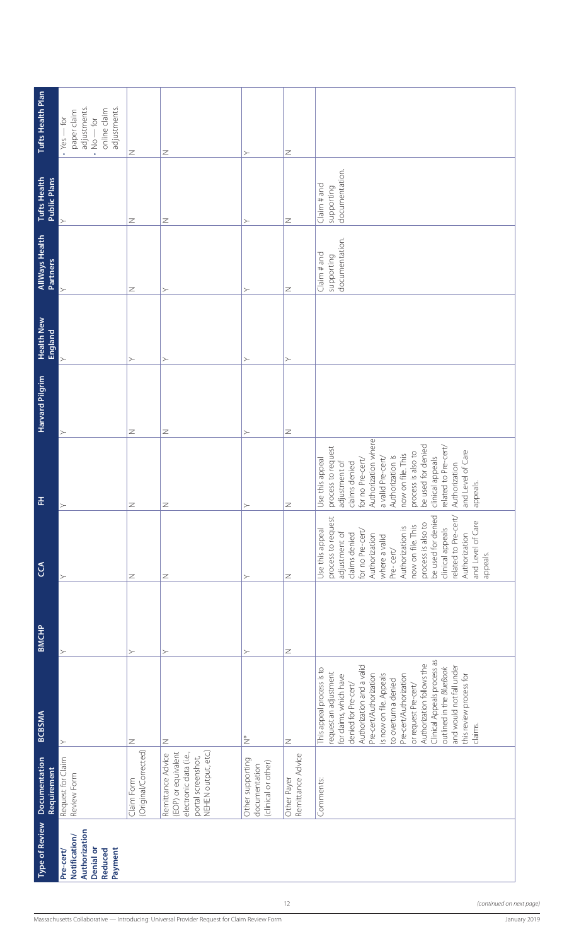|                                                                                | Requirement                                                                                                     |                                                                                                                                                                                                                                                                                                                                                                                                                            |             |                                                                                                                                                                                                                                                                                                                               |                                                                                                                                                                                                                                                                                                                            | Harvard Pilgrim | <b>England</b> | AllWays Health<br><b>Partners</b>          | <b>Public Plans</b>                        |                                                                                                                                    |
|--------------------------------------------------------------------------------|-----------------------------------------------------------------------------------------------------------------|----------------------------------------------------------------------------------------------------------------------------------------------------------------------------------------------------------------------------------------------------------------------------------------------------------------------------------------------------------------------------------------------------------------------------|-------------|-------------------------------------------------------------------------------------------------------------------------------------------------------------------------------------------------------------------------------------------------------------------------------------------------------------------------------|----------------------------------------------------------------------------------------------------------------------------------------------------------------------------------------------------------------------------------------------------------------------------------------------------------------------------|-----------------|----------------|--------------------------------------------|--------------------------------------------|------------------------------------------------------------------------------------------------------------------------------------|
| Authorization<br>Notification/<br>Denial or<br>Payment<br>Pre-cert/<br>Reduced | Request for Claim<br>Review Form                                                                                |                                                                                                                                                                                                                                                                                                                                                                                                                            | ≻           |                                                                                                                                                                                                                                                                                                                               |                                                                                                                                                                                                                                                                                                                            |                 |                | $\succ$                                    | ≻                                          | adjustments.<br>adjustments.<br>online claim<br>paper claim<br>$\cdot$ Yes $-$ for<br>$-\frac{1}{2}$<br>$\frac{1}{2}$<br>$\bullet$ |
|                                                                                | (Original/Corrected)<br>Claim Form                                                                              | Z                                                                                                                                                                                                                                                                                                                                                                                                                          | $\succ$     | Z                                                                                                                                                                                                                                                                                                                             | Z                                                                                                                                                                                                                                                                                                                          | Z               |                | Z                                          | Z                                          | Z                                                                                                                                  |
|                                                                                | NEHEN output, etc.)<br>(EOP) or equivalent<br>electronic data (i.e.,<br>Remittance Advice<br>portal screenshot, | Ζ                                                                                                                                                                                                                                                                                                                                                                                                                          | $\succ$     | Z                                                                                                                                                                                                                                                                                                                             | z                                                                                                                                                                                                                                                                                                                          | Z               | ≻              | $\succ$                                    | Z                                          | Z                                                                                                                                  |
|                                                                                | Other supporting<br>(clinical or other)<br>documentation                                                        | $\stackrel{*}{\geq}$                                                                                                                                                                                                                                                                                                                                                                                                       | $\succ$     | $\succ$                                                                                                                                                                                                                                                                                                                       |                                                                                                                                                                                                                                                                                                                            | $\succ$         |                | ≻                                          | ≻                                          | ≻                                                                                                                                  |
|                                                                                | Remittance Advice<br>Other Payer                                                                                | $\mathbb Z$                                                                                                                                                                                                                                                                                                                                                                                                                | $\mathbb Z$ | $\mathbb Z$                                                                                                                                                                                                                                                                                                                   | z                                                                                                                                                                                                                                                                                                                          | $\mathbb Z$     |                | $\mathbb Z$                                | $\mathbb Z$                                | $\mathbb Z$                                                                                                                        |
|                                                                                | Comments:                                                                                                       | Clinical Appeals process as<br>Authorization follows the<br>Authorization and a valid<br>and would not fall under<br>outlined in the BlueBook<br>This appeal process is to<br>request an adjustment<br>Pre-cert/Authorization<br>is now on file. Appeals<br>Pre-cert/Authorization<br>this review process for<br>for claims, which have<br>to overturn a denied<br>denied for Pre-cert/<br>or request Pre-cert/<br>claims. |             | be used for denied<br>related to Pre-cert/<br>process to request<br>and Level of Care<br>process is also to<br>now on file. This<br>Authorization is<br>clinical appeals<br>Use this appeal<br>for no Pre-cert/<br>adjustment of<br>Authorization<br>claims denied<br>Authorization<br>where a valid<br>Pre-cert/<br>appeals. | Authorization where<br>be used for denied<br>related to Pre-cert/<br>process to request<br>and Level of Care<br>process is also to<br>now on file. This<br>Authorization is<br>clinical appeals<br>a valid Pre-cert/<br>Use this appeal<br>for no Pre-cert/<br>adjustment of<br>claims denied<br>Authorization<br>appeals. |                 |                | documentation.<br>Claim# and<br>supporting | documentation.<br>Claim# and<br>supporting |                                                                                                                                    |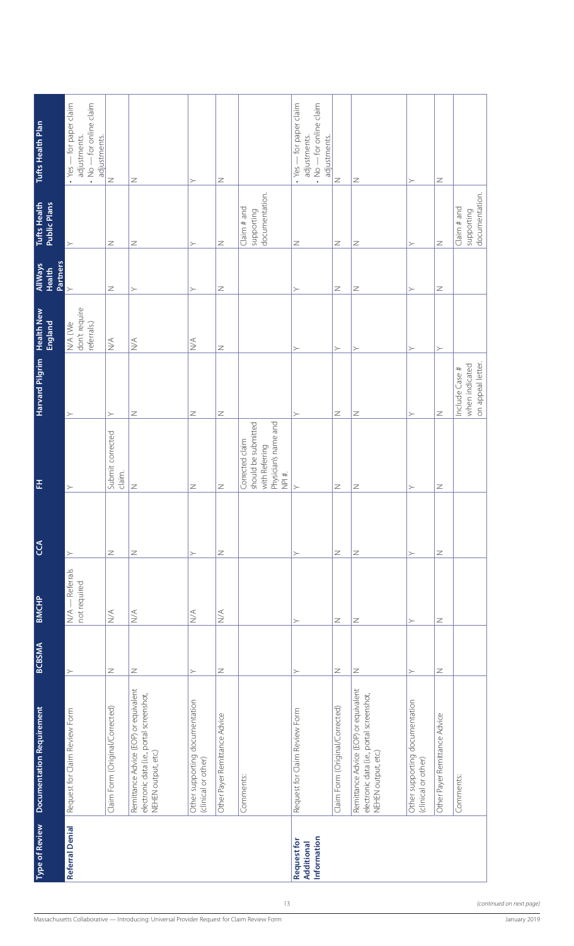| Tufts Health Plan                    | $\cdot$ Yes $-$ for paper claim<br>$\cdot$ No $-$ for online claim<br>adjustments.<br>adjustments. | $\mathbb Z$                      | Z                                                                                                         | $\succ$                                               | $\mathbb Z$                      |                                                                                           | - for paper claim<br>$\cdot$ No $-$ for online claim<br>adjustments.<br>adjustments.<br>$\cdot$ Yes – | $\overline{z}$                  | Z                                                                                                         | $\succ$                                               | $\mathbb Z$                   |                                                       |              |
|--------------------------------------|----------------------------------------------------------------------------------------------------|----------------------------------|-----------------------------------------------------------------------------------------------------------|-------------------------------------------------------|----------------------------------|-------------------------------------------------------------------------------------------|-------------------------------------------------------------------------------------------------------|---------------------------------|-----------------------------------------------------------------------------------------------------------|-------------------------------------------------------|-------------------------------|-------------------------------------------------------|--------------|
| <b>Tufts Health</b><br>Public Plans  | $\succ$                                                                                            | Z                                | Z                                                                                                         | $\succ$                                               | $\mathbb Z$                      | documentation.<br>Claim# and<br>supporting                                                | Z                                                                                                     | Z                               | Z                                                                                                         | $\succ$                                               | $\mathbb Z$                   | documentation.<br>Claim# and<br>supporting            |              |
| Partners<br><b>AllWays</b><br>Health | $\succ$                                                                                            | $\mathbb Z$                      | $\succ$                                                                                                   | $\succ$                                               | Z                                |                                                                                           | $\succ$                                                                                               | Z                               | $\mathbb Z$                                                                                               | $\succ$                                               | Z                             |                                                       |              |
| <b>Health New</b><br>England         | don't require<br>N/A (We<br>referrals.)                                                            | $\stackrel{\triangleleft}{\geq}$ | $\stackrel{\textstyle<}{\geq}$                                                                            | $\stackrel{\triangleleft}{\geq}$                      | Z                                |                                                                                           | $\succ$                                                                                               | $\succ$                         | $\succ$                                                                                                   | $\succ$                                               | $\succ$                       |                                                       |              |
| <b>Harvard Pilgrim</b>               | $\succ$                                                                                            | $\succ$                          | Z                                                                                                         | $\mathbb Z$                                           | $\mathbb Z$                      |                                                                                           | $\succ$                                                                                               | Z                               | $\mathbb Z$                                                                                               | $\succ$                                               | $\mathbb Z$                   | on appeal letter.<br>when indicated<br>Include Case # |              |
| 푼                                    | $\succ$                                                                                            | Submit corrected<br>claim.       | $\, \geq$                                                                                                 | $\mathbb Z$                                           | $\geq$                           | Physician's name and<br>should be submitted<br>Corrected claim<br>with Referring<br>NPI#. | $\succ$                                                                                               | Z                               | $\mathbb Z$                                                                                               | $\succ$                                               | $\mathbb Z$                   |                                                       |              |
| <b>SCA</b>                           | $\succ$                                                                                            | Z                                | Z                                                                                                         | $\succ$                                               | $\mathbb Z$                      |                                                                                           | $\succ$                                                                                               | Z                               | $\mathbb Z$                                                                                               | $\succ$                                               | Z                             |                                                       |              |
| <b>BMCHP</b>                         | N/A - Referrals<br>not required                                                                    | $\stackrel{\triangleleft}{\geq}$ | $\leq$                                                                                                    | $\stackrel{\triangleleft}{\geq}$                      | $\stackrel{\triangleleft}{\geq}$ |                                                                                           | $\succ$                                                                                               | Z                               | Z                                                                                                         | $\succ$                                               | Z                             |                                                       |              |
| <b>BCBSMA</b>                        | ≻                                                                                                  | Z                                | $\mathbb Z$                                                                                               | $\succ$                                               | $\mathbb Z$                      |                                                                                           | $\succ$                                                                                               | Z                               | $\mathbb Z$                                                                                               | $\succ$                                               | Z                             |                                                       |              |
| <b>Documentation Requirement</b>     | Request for Claim Review Form                                                                      | Claim Form (Original/Corrected)  | Remittance Advice (EOP) or equivalent<br>electronic data (i.e., portal screenshot,<br>NEHEN output, etc.) | Other supporting documentation<br>(clinical or other) | Other Payer Remittance Advice    | Comments:                                                                                 | Request for Claim Review Form                                                                         | Claim Form (Original/Corrected) | Remittance Advice (EOP) or equivalent<br>electronic data (i.e., portal screenshot,<br>NEHEN output, etc.) | Other supporting documentation<br>(clinical or other) | Other Payer Remittance Advice | Comments:                                             |              |
| <b>Type of Review</b>                | <b>Referral Denial</b>                                                                             |                                  |                                                                                                           |                                                       |                                  |                                                                                           | Information<br>Request for<br><b>Additional</b>                                                       |                                 |                                                                                                           |                                                       |                               |                                                       |              |
|                                      |                                                                                                    |                                  | Massachusetts Collaborative - Introducing: Universal Provider Request for Claim Review Form               |                                                       |                                  | 13                                                                                        |                                                                                                       |                                 |                                                                                                           |                                                       |                               | (continued on next page)                              | January 2019 |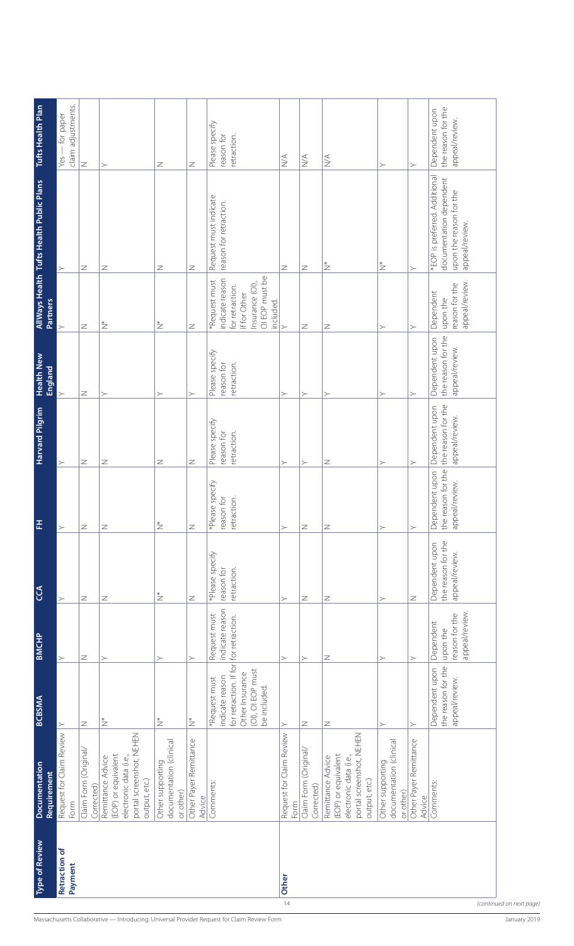|                                                                                             | <b>Type of Review</b>    | Documentation                                                                                                   | <b>BCBSMA</b>                                                                                                      | <b>BMCHP</b>                                              | $\mathfrak{S}$                                         | 푼                                                         | Harvard Pilgrim                                        | <b>Health New</b>                                      |                                                                                                                       | AllWays Health Tufts Health Public Plans                                                              | Tufts Health Plan                                      |
|---------------------------------------------------------------------------------------------|--------------------------|-----------------------------------------------------------------------------------------------------------------|--------------------------------------------------------------------------------------------------------------------|-----------------------------------------------------------|--------------------------------------------------------|-----------------------------------------------------------|--------------------------------------------------------|--------------------------------------------------------|-----------------------------------------------------------------------------------------------------------------------|-------------------------------------------------------------------------------------------------------|--------------------------------------------------------|
|                                                                                             |                          | Requirement                                                                                                     |                                                                                                                    |                                                           |                                                        |                                                           |                                                        | England                                                | Partners                                                                                                              |                                                                                                       |                                                        |
|                                                                                             | Retraction of<br>Payment | Request for Claim Review<br>Form                                                                                | $\geq$                                                                                                             | $\succ$                                                   | ≻                                                      | $\succ$                                                   |                                                        |                                                        | ≻                                                                                                                     | $\succ$                                                                                               | claim adjustments.<br>- for paper<br>Yes-              |
|                                                                                             |                          | Claim Form (Original/<br>Corrected)                                                                             | Z                                                                                                                  | Ζ                                                         | Z                                                      | Z                                                         | Z                                                      | Z                                                      | Z                                                                                                                     | Z                                                                                                     | $\geq$                                                 |
|                                                                                             |                          | portal screenshot, NEHEN<br>(EOP) or equivalent<br>electronic data (i.e.,<br>Remittance Advice<br>output, etc.) | $\overset{*}{\geq}$                                                                                                | $\succ$                                                   | Z                                                      | Z                                                         | Z                                                      | ≻                                                      | $^*$                                                                                                                  | Z                                                                                                     | ≻                                                      |
|                                                                                             |                          | documentation (clinical<br>Other supporting<br>or other)                                                        | $\stackrel{*}{\geq}$                                                                                               | $\succ$                                                   | $\stackrel{*}{\geq}$                                   | $\stackrel{*}{\geq}$                                      | Z                                                      | ≻                                                      | $\stackrel{*}{\geq}$                                                                                                  | Z                                                                                                     | Z                                                      |
|                                                                                             |                          | Other Payer Remittance<br>Advice                                                                                | $\overset{*}{\geq}$                                                                                                | $\succ$                                                   | Z                                                      | Z                                                         | Z                                                      | $\succ$                                                | Z                                                                                                                     | Z                                                                                                     | $\geq$                                                 |
| Massachusetts Collaborative - Introducing: Universal Provider Request for Claim Review Form |                          | Comments:                                                                                                       | for retraction. If for<br>(OI), OI EOP must<br>Other Insurance<br>indicate reason<br>*Request must<br>be included. | indicate reason<br>Request must<br>for retraction.        | *Please specify<br>retraction.<br>reason for           | *Please specify<br>reason for<br>retraction.              | Please specify<br>retraction.<br>reason for            | Please specify<br>retraction.<br>reason for            | OI EOP must be<br>indicate reason<br>*Request must<br>Insurance (OI),<br>for retraction.<br>If for Other<br>included. | Request must indicate<br>reason for retraction.                                                       | Please specify<br>retraction.<br>reason for            |
| 14                                                                                          | Other                    | Request for Claim Review<br>Form                                                                                | $\succ$                                                                                                            | $\succ$                                                   | $\succ$                                                | $\succ$                                                   | $\succ$                                                | $\succ$                                                | $\succ$                                                                                                               | Z                                                                                                     | $\stackrel{\triangleleft}{\geq}$                       |
|                                                                                             |                          | Claim Form (Original/<br>Corrected)                                                                             | Z                                                                                                                  | $\succ$                                                   | Z                                                      | Z                                                         | $\succ$                                                | $\succ$                                                | Z                                                                                                                     | Z                                                                                                     | $\stackrel{\triangleleft}{\geq}$                       |
|                                                                                             |                          | portal screenshot, NEHEN<br>(EOP) or equivalent<br>Remittance Advice<br>electronic data (i.e.,<br>output, etc.) | Z                                                                                                                  | Z                                                         | Z                                                      | Z                                                         | Z                                                      | ≻                                                      | Z                                                                                                                     | $\stackrel{*}{\geq}$                                                                                  | $\stackrel{\triangleleft}{\geq}$                       |
|                                                                                             |                          | documentation (clinical<br>Other supporting<br>or other)                                                        | $\succ$                                                                                                            | $\succ$                                                   | $\succ$                                                | $\succ$                                                   | $\succ$                                                | $\succ$                                                | $\succ$                                                                                                               | $\stackrel{*}{\geq}$                                                                                  | $\succ$                                                |
|                                                                                             |                          | Other Payer Remittance<br>Advice                                                                                | $\succ$                                                                                                            | $\succ$                                                   | $\geq$                                                 | $\succ$                                                   | $\succ$                                                | $\succ$                                                | $\succ$                                                                                                               | $\succ$                                                                                               | $\succ$                                                |
|                                                                                             |                          | Comments:                                                                                                       | the reason for the<br>Dependent upon<br>appeal/review.                                                             | appeal/review.<br>reason for the<br>Dependent<br>upon the | the reason for the<br>Dependent upon<br>appeal/review. | reason for the<br>Dependent upon<br>appeal/review.<br>the | the reason for the<br>Dependent upon<br>appeal/review. | the reason for the<br>Dependent upon<br>appeal/review. | appeal/review.<br>reason for the<br>Dependent<br>upon the                                                             | *EOP is preferred. Additional<br>documentation dependent<br>upon the reason for the<br>appeal/review. | the reason for the<br>Dependent upon<br>appeal/review. |
| (continued on next page)<br>January 2019                                                    |                          |                                                                                                                 |                                                                                                                    |                                                           |                                                        |                                                           |                                                        |                                                        |                                                                                                                       |                                                                                                       |                                                        |